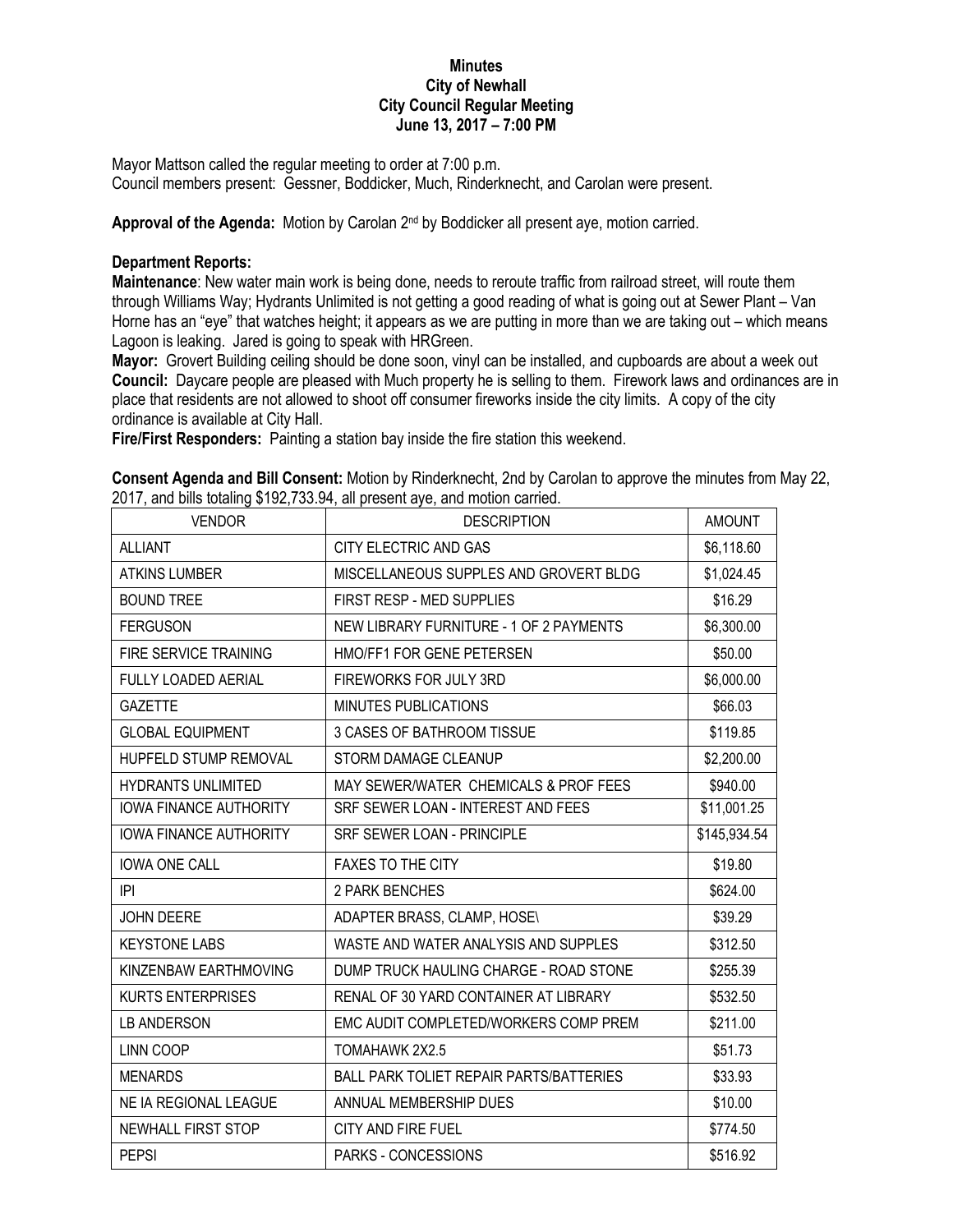## **Minutes City of Newhall City Council Regular Meeting June 13, 2017 – 7:00 PM**

Mayor Mattson called the regular meeting to order at 7:00 p.m. Council members present: Gessner, Boddicker, Much, Rinderknecht, and Carolan were present.

Approval of the Agenda: Motion by Carolan 2<sup>nd</sup> by Boddicker all present aye, motion carried.

## **Department Reports:**

**Maintenance**: New water main work is being done, needs to reroute traffic from railroad street, will route them through Williams Way; Hydrants Unlimited is not getting a good reading of what is going out at Sewer Plant – Van Horne has an "eye" that watches height; it appears as we are putting in more than we are taking out – which means Lagoon is leaking. Jared is going to speak with HRGreen.

**Mayor:** Grovert Building ceiling should be done soon, vinyl can be installed, and cupboards are about a week out **Council:** Daycare people are pleased with Much property he is selling to them. Firework laws and ordinances are in place that residents are not allowed to shoot off consumer fireworks inside the city limits. A copy of the city ordinance is available at City Hall.

**Fire/First Responders:** Painting a station bay inside the fire station this weekend.

| Consent Agenda and Bill Consent: Motion by Rinderknecht, 2nd by Carolan to approve the minutes from May 22, |  |
|-------------------------------------------------------------------------------------------------------------|--|
| 2017, and bills totaling \$192,733.94, all present aye, and motion carried.                                 |  |

| <b>VENDOR</b>                 | which is interested in the second of $\mathbf{r}_1$ , which is the second of $\mathbf{r}_1$<br><b>DESCRIPTION</b> | <b>AMOUNT</b> |
|-------------------------------|-------------------------------------------------------------------------------------------------------------------|---------------|
| <b>ALLIANT</b>                | CITY ELECTRIC AND GAS                                                                                             | \$6,118.60    |
| <b>ATKINS LUMBER</b>          | MISCELLANEOUS SUPPLES AND GROVERT BLDG                                                                            | \$1,024.45    |
| <b>BOUND TREE</b>             | FIRST RESP - MED SUPPLIES                                                                                         | \$16.29       |
| <b>FERGUSON</b>               | NEW LIBRARY FURNITURE - 1 OF 2 PAYMENTS                                                                           | \$6,300.00    |
| FIRE SERVICE TRAINING         | HMO/FF1 FOR GENE PETERSEN                                                                                         | \$50.00       |
| <b>FULLY LOADED AERIAL</b>    | FIREWORKS FOR JULY 3RD                                                                                            | \$6,000.00    |
| <b>GAZETTE</b>                | MINUTES PUBLICATIONS                                                                                              | \$66.03       |
| <b>GLOBAL EQUIPMENT</b>       | 3 CASES OF BATHROOM TISSUE                                                                                        | \$119.85      |
| HUPFELD STUMP REMOVAL         | STORM DAMAGE CLEANUP                                                                                              | \$2,200.00    |
| <b>HYDRANTS UNLIMITED</b>     | MAY SEWER/WATER CHEMICALS & PROF FEES                                                                             | \$940.00      |
| <b>IOWA FINANCE AUTHORITY</b> | SRF SEWER LOAN - INTEREST AND FEES                                                                                | \$11,001.25   |
| <b>IOWA FINANCE AUTHORITY</b> | SRF SEWER LOAN - PRINCIPLE                                                                                        | \$145,934.54  |
| <b>IOWA ONE CALL</b>          | <b>FAXES TO THE CITY</b>                                                                                          | \$19.80       |
| IPI                           | 2 PARK BENCHES                                                                                                    | \$624.00      |
| JOHN DEERE                    | ADAPTER BRASS, CLAMP, HOSE\                                                                                       | \$39.29       |
| <b>KEYSTONE LABS</b>          | WASTE AND WATER ANALYSIS AND SUPPLES                                                                              | \$312.50      |
| KINZENBAW EARTHMOVING         | DUMP TRUCK HAULING CHARGE - ROAD STONE                                                                            | \$255.39      |
| <b>KURTS ENTERPRISES</b>      | RENAL OF 30 YARD CONTAINER AT LIBRARY                                                                             | \$532.50      |
| LB ANDERSON                   | EMC AUDIT COMPLETED/WORKERS COMP PREM                                                                             | \$211.00      |
| LINN COOP                     | TOMAHAWK 2X2.5                                                                                                    | \$51.73       |
| <b>MENARDS</b>                | <b>BALL PARK TOLIET REPAIR PARTS/BATTERIES</b>                                                                    | \$33.93       |
| NE IA REGIONAL LEAGUE         | ANNUAL MEMBERSHIP DUES                                                                                            | \$10.00       |
| NEWHALL FIRST STOP            | CITY AND FIRE FUEL                                                                                                | \$774.50      |
| <b>PEPSI</b>                  | PARKS - CONCESSIONS                                                                                               | \$516.92      |